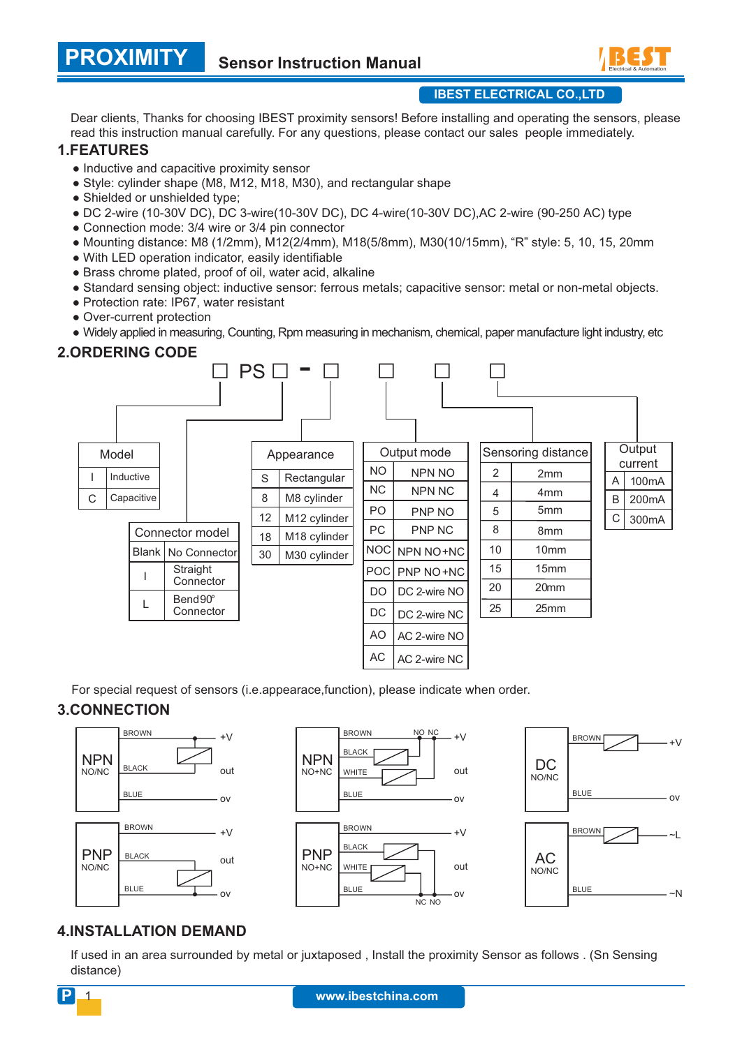

Dear clients, Thanks for choosing IBEST proximity sensors! Before installing and operating the sensors, please read this instruction manual carefully. For any questions, please contact our sales people immediately.

#### **1.FEATURES**

**PROXIMITY**

- Inductive and capacitive proximity sensor
- Style: cylinder shape (M8, M12, M18, M30), and rectangular shape
- Shielded or unshielded type;
- DC 2-wire (10-30V DC), DC 3-wire(10-30V DC), DC 4-wire(10-30V DC),AC 2-wire (90-250 AC) type
- Connection mode: 3/4 wire or 3/4 pin connector
- Mounting distance: M8 (1/2mm), M12(2/4mm), M18(5/8mm), M30(10/15mm), "R" style: 5, 10, 15, 20mm
- With LED operation indicator, easily identifiable
- Brass chrome plated, proof of oil, water acid, alkaline
- Standard sensing object: inductive sensor: ferrous metals; capacitive sensor: metal or non-metal objects.
- Protection rate: IP67, water resistant
- Over-current protection
- Widely applied in measuring, Counting, Rpm measuring in mechanism, chemical, paper manufacture light industry, etc

#### **2.ORDERING CODE**



For special request of sensors (i.e.appearace,function), please indicate when order.

## **3.CONNECTION**







## **4.INSTALLATION DEMAND**

If used in an area surrounded by metal or juxtaposed , Install the proximity Sensor as follows . (Sn Sensing distance)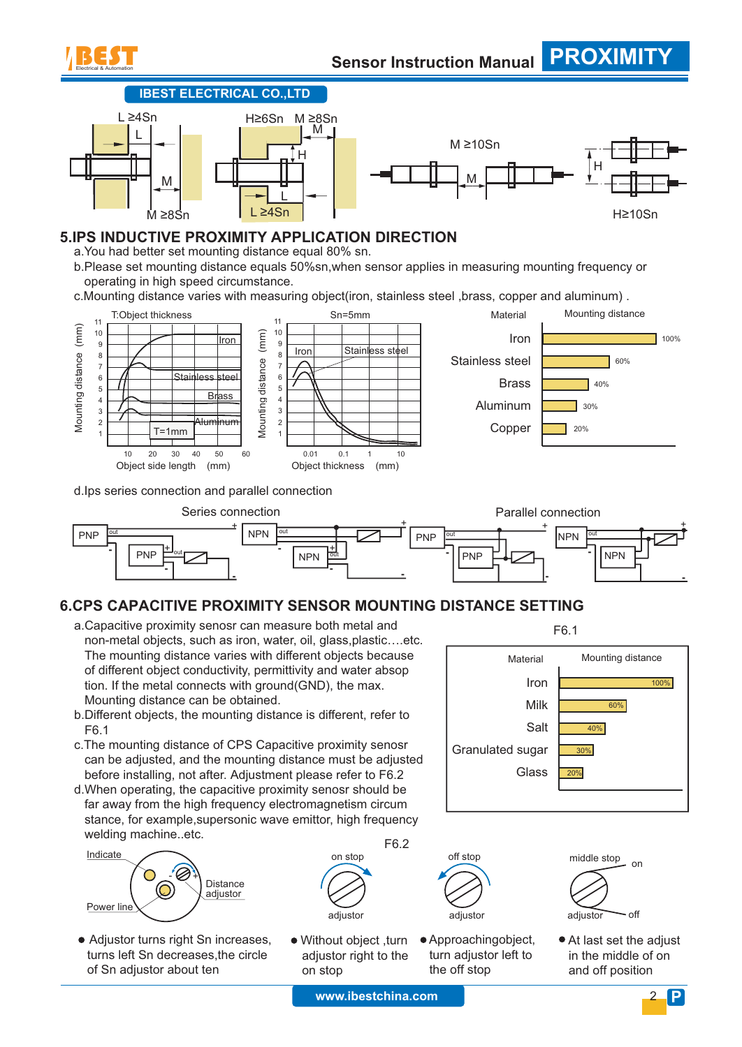





### **5.IPS INDUCTIVE PROXIMITY APPLICATION DIRECTION**

- a.You had better set mounting distance equal 80% sn.
- b.Please set mounting distance equals 50%sn,when sensor applies in measuring mounting frequency or operating in high speed circumstance.
- c.Mounting distance varies with measuring object(iron, stainless steel ,brass, copper and aluminum) .



d.Ips series connection and parallel connection



# **6.CPS CAPACITIVE PROXIMITY SENSOR MOUNTING DISTANCE SETTING**

- a.Capacitive proximity senosr can measure both metal and non-metal objects, such as iron, water, oil, glass,plastic….etc. The mounting distance varies with different objects because of different object conductivity, permittivity and water absop tion. If the metal connects with ground(GND), the max. Mounting distance can be obtained.
- b.Different objects, the mounting distance is different, refer to F6.1
- c.The mounting distance of CPS Capacitive proximity senosr can be adjusted, and the mounting distance must be adjusted before installing, not after. Adjustment please refer to F6.2
- d.When operating, the capacitive proximity senosr should be far away from the high frequency electromagnetism circum stance, for example,supersonic wave emittor, high frequency welding machine..etc. F6.2



 Adjustor turns right Sn increases, turns left Sn decreases,the circle of Sn adjustor about ten



 Without object ,turn adjustor right to the on stop

Approachingobject, turn adjustor left to the off stop







At last set the adjust in the middle of on and off position

**www.ibestchina.com** 2 **P**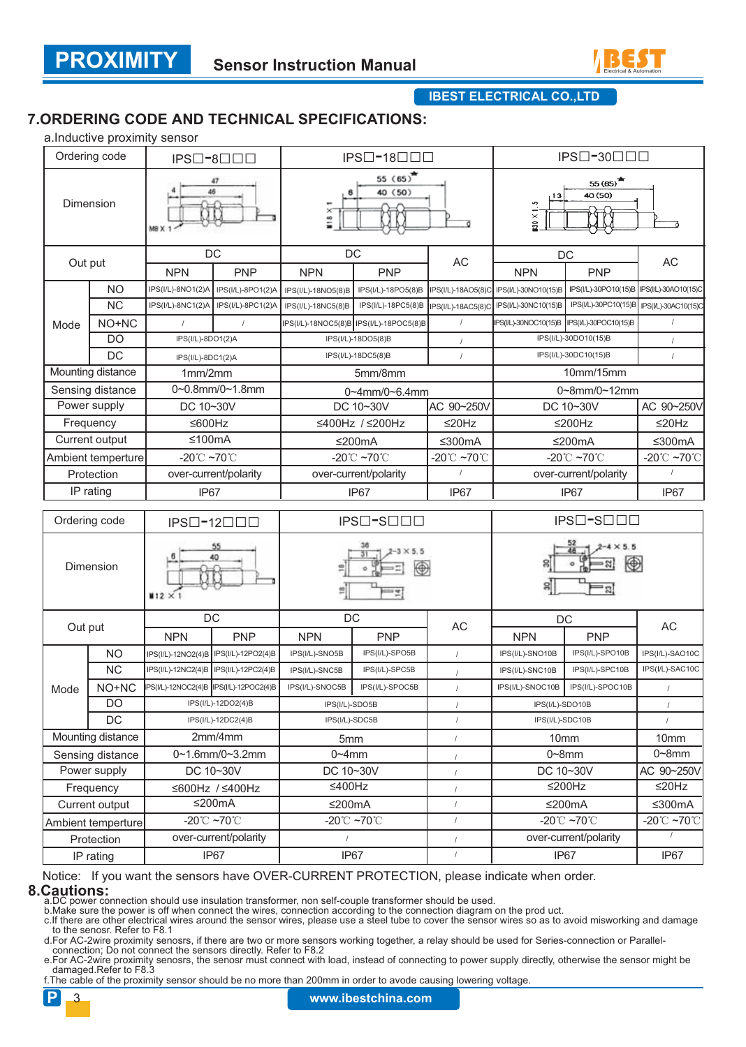

# **7.ORDERING CODE AND TECHNICAL SPECIFICATIONS:**

a.Inductive proximity sensor

|                    | a.inuuutive proximity sensor |                                         |                   |                                  |                                         |                                 |                                                |                      |                                 |  |
|--------------------|------------------------------|-----------------------------------------|-------------------|----------------------------------|-----------------------------------------|---------------------------------|------------------------------------------------|----------------------|---------------------------------|--|
| Ordering code      |                              | IPS <sup>-8</sup> DDD                   |                   | IPS□-18□□□                       |                                         |                                 | IPS□-30□□□                                     |                      |                                 |  |
| Dimension          |                              | 47<br>46<br>MB X 1                      |                   | 55(65)<br>40 (50)<br>≝           |                                         |                                 | 55(65)<br>40 (50)<br>13<br>5<br>$130 \times 1$ |                      |                                 |  |
| Out put            |                              | DC                                      |                   | DC                               |                                         | AC                              | DC                                             |                      | AC                              |  |
|                    |                              | <b>NPN</b>                              | <b>PNP</b>        | <b>NPN</b>                       | <b>PNP</b>                              |                                 | <b>NPN</b>                                     | <b>PNP</b>           |                                 |  |
|                    | <b>NO</b>                    | IPS(I/L)-8NO1(2)A                       | IPS(I/L)-8PO1(2)A | IPS(I/L)-18NO5(8)B               | IPS(I/L)-18PO5(8)B                      | IPS(I/L)-18AO5(8)C              | IPS(I/L)-30NO10(15)B                           | IPS(I/L)-30PO10(15)B | IPS(I/L)-30AO10(15)C            |  |
| Mode               | <b>NC</b>                    | IPS(I/L)-8NC1(2)A                       | IPS(I/L)-8PC1(2)A | IPS(I/L)-18NC5(8)B               | IPS(I/L)-18PC5(8)B                      | IPS(I/L)-18AC5(8)C              | IPS(I/L)-30NC10(15)B                           | IPS(I/L)-30PC10(15)B | IPS(I/L)-30AC10(15)C            |  |
|                    | NO+NC                        | $\prime$                                | $\prime$          |                                  | IPS(I/L)-18NOC5(8)B IPS(I/L)-18POC5(8)B | $\sqrt{ }$                      | IPS(IL)-30NOC10(15)B IPS(IL)-30POC10(15)B      |                      | $\prime$                        |  |
|                    | <b>DO</b>                    | IPS(I/L)-8DO1(2)A                       |                   |                                  | IPS(I/L)-18DO5(8)B                      | $\sqrt{ }$                      |                                                | IPS(I/L)-30DO10(15)B | $\sqrt{ }$                      |  |
| DC                 |                              | IPS(I/L)-8DC1(2)A                       |                   | IPS(I/L)-18DC5(8)B               |                                         | $\sqrt{ }$                      | IPS(I/L)-30DC10(15)B                           |                      | $\prime$                        |  |
| Mounting distance  |                              | 1mm/2mm                                 |                   | 5mm/8mm                          |                                         |                                 | 10mm/15mm                                      |                      |                                 |  |
|                    | Sensing distance             | 0~0.8mm/0~1.8mm                         |                   | 0~4mm/0~6.4mm                    |                                         |                                 | 0~8mm/0~12mm                                   |                      |                                 |  |
| Power supply       |                              | DC 10~30V                               |                   | DC 10~30V                        |                                         | AC 90~250V                      | DC 10~30V                                      |                      | AC 90~250V                      |  |
|                    | Frequency                    | ≤600Hz                                  |                   | ≤400Hz / ≤200Hz                  |                                         | ≤20Hz                           | ≤200Hz                                         |                      | ≤20Hz                           |  |
| Current output     |                              | ≤100mA                                  |                   | ≤200mA                           |                                         | ≤300mA                          | ≤200mA                                         |                      | ≤300mA                          |  |
| Ambient temperture |                              | -20°C ~70°C                             |                   | $-20^{\circ}$ C ~70 $^{\circ}$ C |                                         | $-20^{\circ}$ C $-70^{\circ}$ C | -20 $°C$ ~70 $°C$                              |                      | -20 $°C$ ~70 $°C$               |  |
| Protection         |                              | over-current/polarity                   |                   | over-current/polarity            |                                         | $\prime$                        | over-current/polarity                          |                      |                                 |  |
| IP rating          |                              | IP67                                    |                   | IP67                             |                                         | IP67                            | IP67                                           |                      | IP67                            |  |
| Ordering code      |                              | IPS□-12□□□                              |                   | IPS <sup>-S</sup> DDD            |                                         |                                 | IPS <sup>-S</sup> DDD                          |                      |                                 |  |
| Dimension          |                              | $12 \times 1$                           |                   | 36                               |                                         |                                 |                                                |                      |                                 |  |
| Out put            |                              | DC                                      |                   | DC                               |                                         | AC                              | DC                                             |                      | AC                              |  |
|                    |                              | <b>NPN</b>                              | <b>PNP</b>        | <b>NPN</b>                       | <b>PNP</b>                              |                                 | <b>NPN</b>                                     | <b>PNP</b>           |                                 |  |
|                    | <b>NO</b>                    | IPS(I/L)-12NO2(4)B   IPS(I/L)-12PO2(4)B |                   | IPS(I/L)-SNO5B                   | IPS(I/L)-SPO5B                          | $\sqrt{ }$                      | IPS(I/L)-SNO10B                                | IPS(I/L)-SPO10B      | IPS(I/L)-SAO10C                 |  |
|                    | <b>NC</b>                    | IPS(I/L)-12NC2(4)B   IPS(I/L)-12PC2(4)B |                   | IPS(I/L)-SNC5B                   | IPS(I/L)-SPC5B                          |                                 | IPS(I/L)-SNC10B                                | IPS(I/L)-SPC10B      | IPS(I/L)-SAC10C                 |  |
| Mode               | NO+NC                        | PS(I/L)-12NOC2(4)B IPS(I/L)-12POC2(4)B  |                   | IPS(I/L)-SNOC5B                  | IPS(I/L)-SPOC5B                         | $\sqrt{ }$                      | IPS(I/L)-SNOC10B                               | IPS(I/L)-SPOC10B     | $\sqrt{ }$                      |  |
|                    | DO                           | IPS(I/L)-12DO2(4)B                      |                   | IPS(I/L)-SDO5B                   |                                         | $\prime$                        | IPS(I/L)-SDO10B                                |                      | $\sqrt{2}$                      |  |
|                    | DC                           | IPS(I/L)-12DC2(4)B                      |                   | IPS(I/L)-SDC5B                   |                                         |                                 | IPS(I/L)-SDC10B                                |                      |                                 |  |
| Mounting distance  |                              | 2mm/4mm                                 |                   | 5mm                              |                                         | $\sqrt{2}$                      | 10 <sub>mm</sub>                               |                      | 10mm                            |  |
| Sensing distance   |                              | 0~1.6mm/0~3.2mm                         |                   | $0 - 4$ mm                       |                                         |                                 | $0 - 8$ mm                                     |                      | $0 - 8$ mm                      |  |
| Power supply       |                              | DC 10~30V                               |                   | DC 10~30V                        |                                         | $\overline{1}$                  | DC 10~30V                                      |                      | AC 90~250V                      |  |
| Frequency          |                              | ≤600Hz / ≤400Hz                         |                   | ≤400Hz                           |                                         | $\sqrt{ }$                      | ≤200Hz                                         |                      | ≤20Hz                           |  |
| Current output     |                              | ≤200mA                                  |                   | ≤200mA                           |                                         | $\sqrt{ }$                      | ≤200mA                                         |                      | ≤300mA                          |  |
| Ambient temperture |                              | -20 $\degree$ C ~70 $\degree$ C         |                   | -20 $°C$ ~70 $°C$                |                                         | $\sqrt{ }$                      | -20 $°C$ ~70 $°C$                              |                      | $-20^{\circ}$ C $-70^{\circ}$ C |  |
| Protection         |                              | over-current/polarity                   |                   | $\sqrt{ }$                       |                                         | $\overline{1}$                  | over-current/polarity                          |                      | $\prime$                        |  |
| IP rating          |                              | IP67                                    |                   | IP67                             |                                         | $\sqrt{2}$                      | IP67                                           |                      | IP67                            |  |

Notice: If you want the sensors have OVER-CURRENT PROTECTION, please indicate when order.

#### **8.Cautions:**

a.DC power connection should use insulation transformer, non self-couple transformer should be used.

b.Make sure the power is off when connect the wires, connection according to the connection diagram on the prod uct.

c.If there are other electrical wires around the sensor wires, please use a steel tube to cover the sensor wires so as to avoid misworking and damage to the senosr. Refer to F8.1

d.For AC-2wire proximity senosrs, if there are two or more sensors working together, a relay should be used for Series-connection or Parallel connection; Do not connect the sensors directly. Refer to F8.2

e.For AC-2wire proximity senosrs, the senosr must connect with load, instead of connecting to power supply directly, otherwise the sensor might be damaged.Refer to F8.3

f.The cable of the proximity sensor should be no more than 200mm in order to avode causing lowering voltage.

**P** <sup>3</sup> **www.ibestchina.com**